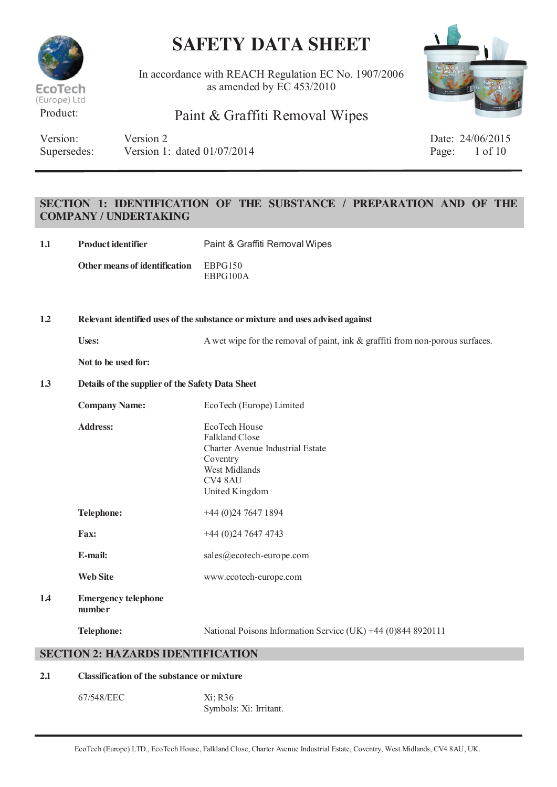

In accordance with REACH Regulation EC No. 1907/2006 as amended by EC 453/2010



## Product: Paint & Graffiti Removal Wipes

| Version:    | Version 2                     | Date: 24/06/201          |
|-------------|-------------------------------|--------------------------|
| Supersedes: | Version 1: dated $01/07/2014$ | Page: $1 \text{ of } 10$ |

Date: 24/06/2015

### **SECTION 1: IDENTIFICATION OF THE SUBSTANCE / PREPARATION AND OF THE COMPANY / UNDERTAKING**

| 1.1 | <b>Product identifier</b>     | Paint & Graffiti Removal Wipes |
|-----|-------------------------------|--------------------------------|
|     | Other means of identification | EBPG150<br>EBPG100A            |

**1.2 Relevant identified uses of the substance or mixture and uses advised against**

Uses: A wet wipe for the removal of paint, ink & graffiti from non-porous surfaces.

**Not to be used for:**

#### **1.3 Details of the supplier of the Safety Data Sheet**

|    | <b>Company Name:</b>                 | EcoTech (Europe) Limited                                                                                                             |
|----|--------------------------------------|--------------------------------------------------------------------------------------------------------------------------------------|
|    | <b>Address:</b>                      | EcoTech House<br><b>Falkland Close</b><br>Charter Avenue Industrial Estate<br>Coventry<br>West Midlands<br>CV4 8AU<br>United Kingdom |
|    | <b>Telephone:</b>                    | $+44(0)2476471894$                                                                                                                   |
|    | <b>Fax:</b>                          | $+44(0)2476474743$                                                                                                                   |
|    | E-mail:                              | sales@ecotech-europe.com                                                                                                             |
|    | <b>Web Site</b>                      | www.ecotech-europe.com                                                                                                               |
| 14 | <b>Emergency telephone</b><br>number |                                                                                                                                      |
|    | <b>Telephone:</b>                    | National Poisons Information Service (UK) +44 (0)844 8920111                                                                         |

#### **SECTION 2: HAZARDS IDENTIFICATION**

#### **2.1 Classification of the substance or mixture**

67/548/EEC Xi; R36 Symbols: Xi: Irritant.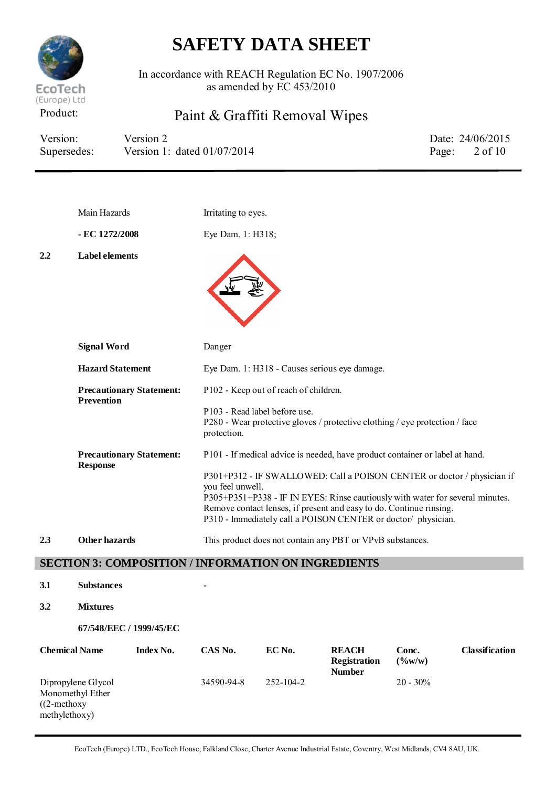

In accordance with REACH Regulation EC No. 1907/2006 as amended by EC 453/2010

## Product: Paint & Graffiti Removal Wipes

| Version:    | Version 2                     | Date: 24/06/2015         |
|-------------|-------------------------------|--------------------------|
| Supersedes: | Version 1: dated $01/07/2014$ | Page: $2 \text{ of } 10$ |

|     | Main Hazards                                         | Irritating to eyes.                                                                                                                                                                                                                                                                                                  |
|-----|------------------------------------------------------|----------------------------------------------------------------------------------------------------------------------------------------------------------------------------------------------------------------------------------------------------------------------------------------------------------------------|
|     | - EC 1272/2008                                       | Eye Dam. 1: H318;                                                                                                                                                                                                                                                                                                    |
| 2.2 | <b>Label elements</b>                                |                                                                                                                                                                                                                                                                                                                      |
|     | <b>Signal Word</b>                                   | Danger                                                                                                                                                                                                                                                                                                               |
|     | <b>Hazard Statement</b>                              | Eye Dam. 1: H318 - Causes serious eye damage.                                                                                                                                                                                                                                                                        |
|     | <b>Precautionary Statement:</b><br><b>Prevention</b> | P102 - Keep out of reach of children.                                                                                                                                                                                                                                                                                |
|     |                                                      | P103 - Read label before use.<br>P280 - Wear protective gloves / protective clothing / eye protection / face<br>protection.                                                                                                                                                                                          |
|     | <b>Precautionary Statement:</b>                      | P101 - If medical advice is needed, have product container or label at hand.                                                                                                                                                                                                                                         |
|     | <b>Response</b>                                      | P301+P312 - IF SWALLOWED: Call a POISON CENTER or doctor / physician if<br>you feel unwell.<br>P305+P351+P338 - IF IN EYES: Rinse cautiously with water for several minutes.<br>Remove contact lenses, if present and easy to do. Continue rinsing.<br>P310 - Immediately call a POISON CENTER or doctor/ physician. |
| 2.3 | <b>Other hazards</b>                                 | This product does not contain any PBT or VPvB substances.                                                                                                                                                                                                                                                            |

### **SECTION 3: COMPOSITION / INFORMATION ON INGREDIENTS**

- **3.1 Substances -**
- **3.2 Mixtures**

**67/548/EEC / 1999/45/EC**

| <b>Chemical Name</b>                                                     | Index No. | CAS No.    | EC No.          | <b>REACH</b><br><b>Registration</b><br><b>Number</b> | Conc.<br>(9/6W/W) | Classification |
|--------------------------------------------------------------------------|-----------|------------|-----------------|------------------------------------------------------|-------------------|----------------|
| Dipropylene Glycol<br>Monomethyl Ether<br>$(2$ -methoxy<br>methylethoxy) |           | 34590-94-8 | $252 - 104 - 2$ |                                                      | $20 - 30\%$       |                |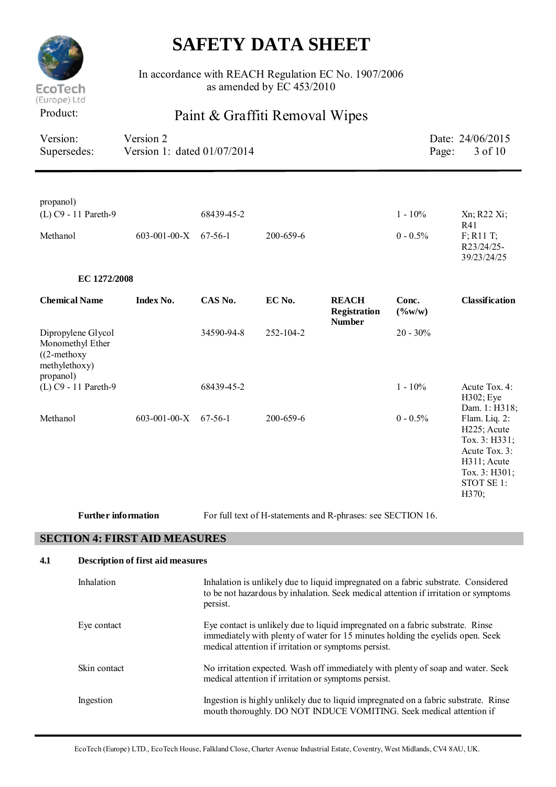

In accordance with REACH Regulation EC No. 1907/2006 as amended by EC 453/2010

## Product: Paint & Graffiti Removal Wipes

| Version:<br>Supersedes:                                         |                            | Version 2<br>Version 1: dated 01/07/2014 |            |           |                                                                                                                                                                           | Page:                    | Date: 24/06/2015<br>3 of 10                                                                                                        |
|-----------------------------------------------------------------|----------------------------|------------------------------------------|------------|-----------|---------------------------------------------------------------------------------------------------------------------------------------------------------------------------|--------------------------|------------------------------------------------------------------------------------------------------------------------------------|
|                                                                 |                            |                                          |            |           |                                                                                                                                                                           |                          |                                                                                                                                    |
| propanol)                                                       | (L) C9 - 11 Pareth-9       |                                          | 68439-45-2 |           |                                                                                                                                                                           | $1 - 10\%$               | Xn; R22 Xi;<br>R41                                                                                                                 |
| Methanol                                                        |                            | $603 - 001 - 00 - X$                     | $67-56-1$  | 200-659-6 |                                                                                                                                                                           | $0 - 0.5\%$              | $F$ ; R <sub>1</sub> 1 T;<br>R23/24/25-<br>39/23/24/25                                                                             |
|                                                                 | EC 1272/2008               |                                          |            |           |                                                                                                                                                                           |                          |                                                                                                                                    |
| <b>Chemical Name</b>                                            |                            | <b>Index No.</b>                         | CAS No.    | EC No.    | <b>REACH</b><br>Registration<br><b>Number</b>                                                                                                                             | Conc.<br>$(\frac{6}{W})$ | <b>Classification</b>                                                                                                              |
| Monomethyl Ether<br>$((2-methoxy$<br>methylethoxy)<br>propanol) | Dipropylene Glycol         |                                          | 34590-94-8 | 252-104-2 |                                                                                                                                                                           | $20 - 30\%$              |                                                                                                                                    |
|                                                                 | (L) C9 - 11 Pareth-9       |                                          | 68439-45-2 |           |                                                                                                                                                                           | $1 - 10\%$               | Acute Tox. 4:<br>H302; Eye<br>Dam. 1: H318;                                                                                        |
| Methanol                                                        |                            | $603 - 001 - 00 - X$                     | 67-56-1    | 200-659-6 |                                                                                                                                                                           | $0 - 0.5\%$              | Flam. Liq. 2:<br>H <sub>225</sub> ; Acute<br>Tox. 3: H331;<br>Acute Tox. 3:<br>H311; Acute<br>Тох. 3: Н301;<br>STOT SE 1:<br>H370; |
|                                                                 | <b>Further information</b> |                                          |            |           | For full text of H-statements and R-phrases: see SECTION 16.                                                                                                              |                          |                                                                                                                                    |
|                                                                 |                            | <b>SECTION 4: FIRST AID MEASURES</b>     |            |           |                                                                                                                                                                           |                          |                                                                                                                                    |
| 4.1                                                             |                            | <b>Description of first aid measures</b> |            |           |                                                                                                                                                                           |                          |                                                                                                                                    |
|                                                                 | Inhalation                 |                                          | persist.   |           | Inhalation is unlikely due to liquid impregnated on a fabric substrate. Considered<br>to be not hazardous by inhalation. Seek medical attention if irritation or symptoms |                          |                                                                                                                                    |

Eye contact Eye contact is unlikely due to liquid impregnated on a fabric substrate. Rinse

medical attention if irritation or symptoms persist.

Skin contact No irritation expected. Wash off immediately with plenty of soap and water. Seek medical attention if irritation or symptoms persist.

Ingestion Ingestion is highly unlikely due to liquid impregnated on a fabric substrate. Rinse

immediately with plenty of water for 15 minutes holding the eyelids open. Seek

mouth thoroughly. DO NOT INDUCE VOMITING. Seek medical attention if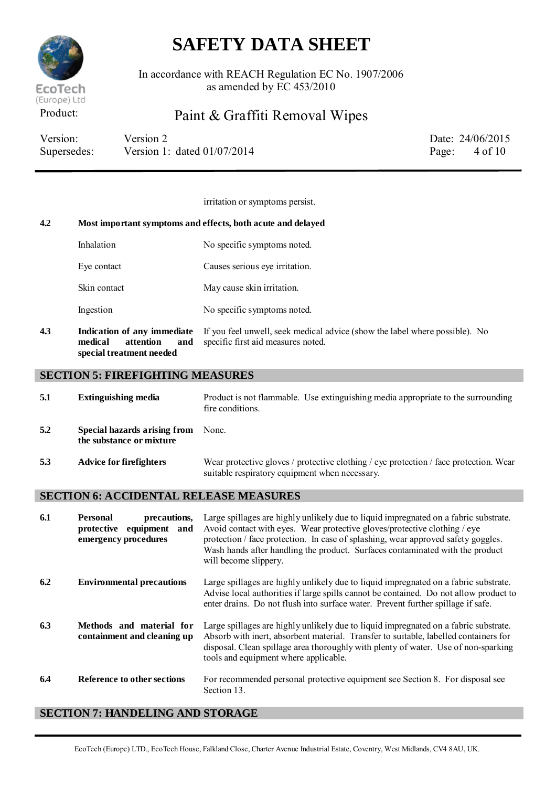

In accordance with REACH Regulation EC No. 1907/2006 as amended by EC 453/2010

## Product: Paint & Graffiti Removal Wipes

| Version:    | Version 2                     | Date: 24/06/2015         |
|-------------|-------------------------------|--------------------------|
| Supersedes: | Version 1: dated $01/07/2014$ | Page: $4 \text{ of } 10$ |

irritation or symptoms persist. **4.2 Most important symptoms and effects, both acute and delayed** Inhalation No specific symptoms noted. Eye contact Causes serious eye irritation. Skin contact May cause skin irritation. Ingestion No specific symptoms noted. **4.3 Indication of any immediate medical attention and special treatment needed** If you feel unwell, seek medical advice (show the label where possible). No specific first aid measures noted.

### **SECTION 5: FIREFIGHTING MEASURES**

| 5.1 | <b>Extinguishing media</b>                               | Product is not flammable. Use extinguishing media appropriate to the surrounding<br>fire conditions.                                    |
|-----|----------------------------------------------------------|-----------------------------------------------------------------------------------------------------------------------------------------|
| 5.2 | Special hazards arising from<br>the substance or mixture | None.                                                                                                                                   |
| 5.3 | Advice for firefighters                                  | Wear protective gloves / protective clothing / eye protection / face protection. Wear<br>suitable respiratory equipment when necessary. |

### **SECTION 6: ACCIDENTAL RELEASE MEASURES**

| 6.1 | precautions,<br><b>Personal</b><br>protective<br>equipment and<br>emergency procedures | Large spillages are highly unlikely due to liquid impregnated on a fabric substrate.<br>Avoid contact with eyes. Wear protective gloves/protective clothing / eye<br>protection / face protection. In case of splashing, wear approved safety goggles.<br>Wash hands after handling the product. Surfaces contaminated with the product<br>will become slippery. |
|-----|----------------------------------------------------------------------------------------|------------------------------------------------------------------------------------------------------------------------------------------------------------------------------------------------------------------------------------------------------------------------------------------------------------------------------------------------------------------|
| 6.2 | <b>Environmental precautions</b>                                                       | Large spillages are highly unlikely due to liquid impregnated on a fabric substrate.<br>Advise local authorities if large spills cannot be contained. Do not allow product to<br>enter drains. Do not flush into surface water. Prevent further spillage if safe.                                                                                                |
| 6.3 | Methods and material for<br>containment and cleaning up                                | Large spillages are highly unlikely due to liquid impregnated on a fabric substrate.<br>Absorb with inert, absorbent material. Transfer to suitable, labelled containers for<br>disposal. Clean spillage area thoroughly with plenty of water. Use of non-sparking<br>tools and equipment where applicable.                                                      |
| 6.4 | Reference to other sections                                                            | For recommended personal protective equipment see Section 8. For disposal see<br>Section 13.                                                                                                                                                                                                                                                                     |

### **SECTION 7: HANDELING AND STORAGE**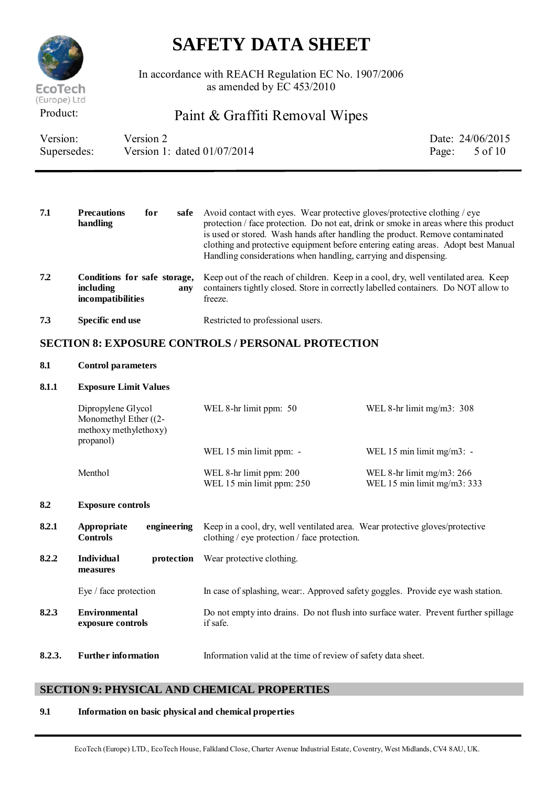

In accordance with REACH Regulation EC No. 1907/2006 as amended by EC 453/2010

## Product: Paint & Graffiti Removal Wipes

| Version:    | Version 2                     | Date: 24/06/2015         |
|-------------|-------------------------------|--------------------------|
| Supersedes: | Version 1: dated $01/07/2014$ | Page: $5 \text{ of } 10$ |

| 7.1 | <b>Precautions</b><br>for<br>handling                                 | safe | Avoid contact with eyes. Wear protective gloves/protective clothing / eye<br>protection / face protection. Do not eat, drink or smoke in areas where this product<br>is used or stored. Wash hands after handling the product. Remove contaminated<br>clothing and protective equipment before entering eating areas. Adopt best Manual<br>Handling considerations when handling, carrying and dispensing. |
|-----|-----------------------------------------------------------------------|------|------------------------------------------------------------------------------------------------------------------------------------------------------------------------------------------------------------------------------------------------------------------------------------------------------------------------------------------------------------------------------------------------------------|
| 7.2 | Conditions for safe storage,<br>including<br><i>incompatibilities</i> | any  | Keep out of the reach of children. Keep in a cool, dry, well ventilated area. Keep<br>containers tightly closed. Store in correctly labelled containers. Do NOT allow to<br>freeze.                                                                                                                                                                                                                        |
| 7.3 | Specific end use                                                      |      | Restricted to professional users.                                                                                                                                                                                                                                                                                                                                                                          |

### **SECTION 8: EXPOSURE CONTROLS / PERSONAL PROTECTION**

### **8.1 Control parameters**

#### **8.1.1 Exposure Limit Values**

| Dipropylene Glycol<br>Monomethyl Ether $((2 -$<br>methoxy methylethoxy)<br>propanol) | WEL 8-hr limit ppm: 50                               | WEL 8-hr limit mg/m3: $308$                                 |
|--------------------------------------------------------------------------------------|------------------------------------------------------|-------------------------------------------------------------|
|                                                                                      | WEL 15 min limit ppm: -                              | WEL 15 min limit mg/m3: $-$                                 |
| Menthol                                                                              | WEL 8-hr limit ppm: 200<br>WEL 15 min limit ppm: 250 | WEL 8-hr limit $mg/m3$ : 266<br>WEL 15 min limit mg/m3: 333 |

#### **8.2 Exposure controls**

| 8.2.1  | Appropriate<br>engineering<br><b>Controls</b> | Keep in a cool, dry, well ventilated area. Wear protective gloves/protective<br>clothing / eye protection / face protection. |
|--------|-----------------------------------------------|------------------------------------------------------------------------------------------------------------------------------|
| 8.2.2  | <b>Individual</b><br>protection<br>measures   | Wear protective clothing.                                                                                                    |
|        | Eye / face protection                         | In case of splashing, wear Approved safety goggles. Provide eye wash station.                                                |
| 8.2.3  | Environmental<br>exposure controls            | Do not empty into drains. Do not flush into surface water. Prevent further spillage<br>if safe.                              |
| 8.2.3. | <b>Further information</b>                    | Information valid at the time of review of safety data sheet.                                                                |

### **SECTION 9: PHYSICAL AND CHEMICAL PROPERTIES**

#### **9.1 Information on basic physical and chemical properties**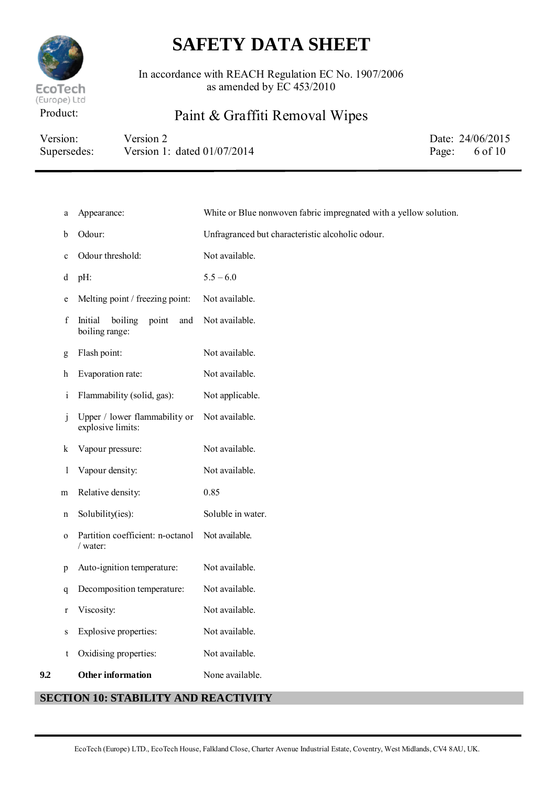

In accordance with REACH Regulation EC No. 1907/2006 as amended by EC 453/2010

## Product: Paint & Graffiti Removal Wipes

| Version:    | Version 2                     | Date: 24/06/2015         |
|-------------|-------------------------------|--------------------------|
| Supersedes: | Version 1: dated $01/07/2014$ | Page: $6 \text{ of } 10$ |

| a            | Appearance:                                          | White or Blue nonwoven fabric impregnated with a yellow solution. |
|--------------|------------------------------------------------------|-------------------------------------------------------------------|
| b            | Odour:                                               | Unfragranced but characteristic alcoholic odour.                  |
| $\mathbf c$  | Odour threshold:                                     | Not available.                                                    |
| d            | pH:                                                  | $5.5 - 6.0$                                                       |
| e            | Melting point / freezing point:                      | Not available.                                                    |
| f            | boiling<br>Initial<br>point<br>and<br>boiling range: | Not available.                                                    |
| g            | Flash point:                                         | Not available.                                                    |
| h            | Evaporation rate:                                    | Not available.                                                    |
| $\mathbf{i}$ | Flammability (solid, gas):                           | Not applicable.                                                   |
| $\mathbf{J}$ | Upper / lower flammability or<br>explosive limits:   | Not available.                                                    |
| k            | Vapour pressure:                                     | Not available.                                                    |
| 1            | Vapour density:                                      | Not available.                                                    |
| m            | Relative density:                                    | 0.85                                                              |
| n            | Solubility(ies):                                     | Soluble in water.                                                 |
| $\mathbf 0$  | Partition coefficient: n-octanol<br>/ water:         | Not available.                                                    |
| p            | Auto-ignition temperature:                           | Not available.                                                    |
| q            | Decomposition temperature:                           | Not available.                                                    |
| $\bf r$      | Viscosity:                                           | Not available.                                                    |
| S            | Explosive properties:                                | Not available.                                                    |
| t            | Oxidising properties:                                | Not available.                                                    |
| 9.2          | <b>Other information</b>                             | None available.                                                   |
|              | <b>SECTION 10: STABILITY AND REACTIVITY</b>          |                                                                   |

#### EcoTech (Europe) LTD., EcoTech House, Falkland Close, Charter Avenue Industrial Estate, Coventry, West Midlands, CV4 8AU, UK.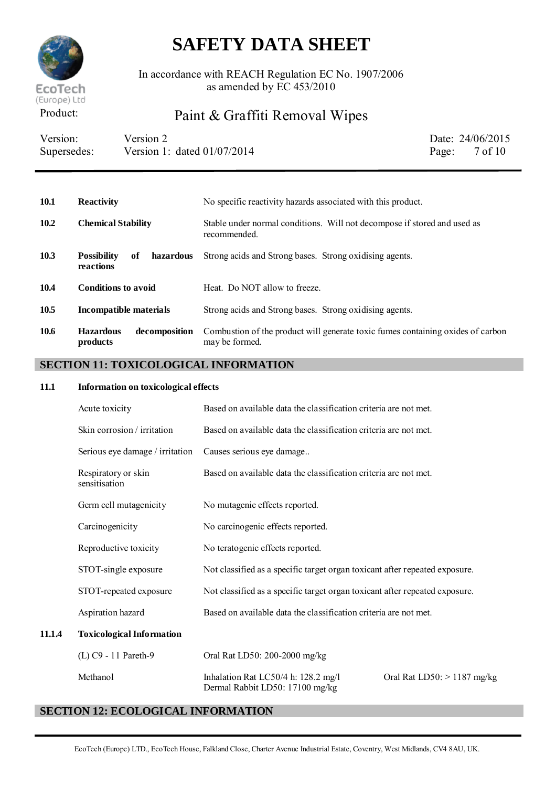

In accordance with REACH Regulation EC No. 1907/2006 as amended by EC 453/2010

## Product: Paint & Graffiti Removal Wipes

| Version:    | Version 2                     | Date: 24/06/2015         |
|-------------|-------------------------------|--------------------------|
| Supersedes: | Version 1: dated $01/07/2014$ | Page: $7 \text{ of } 10$ |

### **10.1 Reactivity** No specific reactivity hazards associated with this product. **10.2 Chemical Stability** Stable under normal conditions. Will not decompose if stored and used as recommended. **10.3 Possibility of hazardous reactions** Strong acids and Strong bases. Strong oxidising agents. 10.4 **Conditions to avoid** Heat. Do NOT allow to freeze. **10.5 Incompatible materials** Strong acids and Strong bases. Strong oxidising agents. **10.6 Hazardous decomposition products** Combustion of the product will generate toxic fumes containing oxides of carbon may be formed.

### **SECTION 11: TOXICOLOGICAL INFORMATION**

#### **11.1 Information on toxicological effects**

| Acute toxicity                       | Based on available data the classification criteria are not met.            |                               |
|--------------------------------------|-----------------------------------------------------------------------------|-------------------------------|
| Skin corrosion / irritation          | Based on available data the classification criteria are not met.            |                               |
| Serious eye damage / irritation      | Causes serious eye damage                                                   |                               |
| Respiratory or skin<br>sensitisation | Based on available data the classification criteria are not met.            |                               |
| Germ cell mutagenicity               | No mutagenic effects reported.                                              |                               |
| Carcinogenicity                      | No carcinogenic effects reported.                                           |                               |
| Reproductive toxicity                | No teratogenic effects reported.                                            |                               |
| STOT-single exposure                 | Not classified as a specific target organ toxicant after repeated exposure. |                               |
| STOT-repeated exposure               | Not classified as a specific target organ toxicant after repeated exposure. |                               |
| Aspiration hazard                    | Based on available data the classification criteria are not met.            |                               |
| <b>Toxicological Information</b>     |                                                                             |                               |
| (L) C9 - 11 Pareth-9                 | Oral Rat LD50: 200-2000 mg/kg                                               |                               |
| Methanol                             | Inhalation Rat LC50/4 h: 128.2 mg/l                                         | Oral Rat $LD50:$ > 1187 mg/kg |

### **SECTION 12: ECOLOGICAL INFORMATION**

**11.1.4** 

Dermal Rabbit LD50: 17100 mg/kg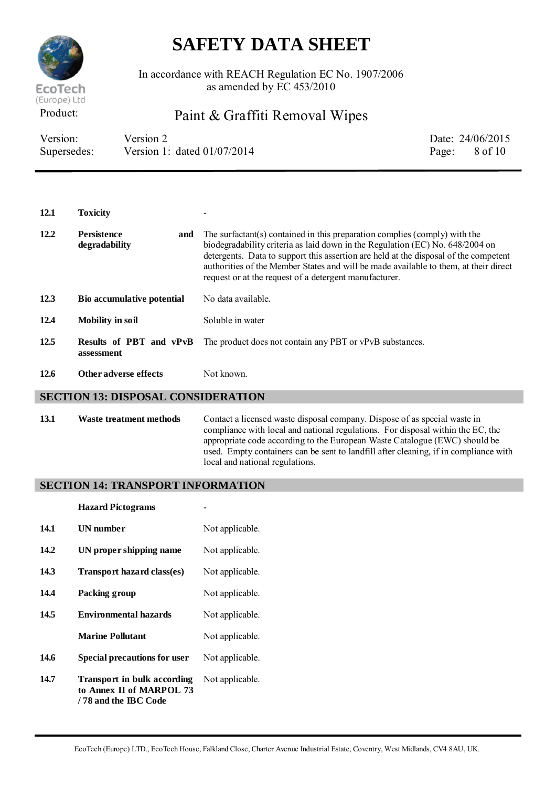

In accordance with REACH Regulation EC No. 1907/2006 as amended by EC 453/2010

Product: Paint & Graffiti Removal Wipes

| Version:    | Version 2                     | Date: 24/06/2015         |
|-------------|-------------------------------|--------------------------|
| Supersedes: | Version 1: dated $01/07/2014$ | Page: $8 \text{ of } 10$ |

12.1 **Toxicity 12.2 Persistence and degradability** The surfactant(s) contained in this preparation complies (comply) with the biodegradability criteria as laid down in the Regulation (EC) No. 648/2004 on detergents. Data to support this assertion are held at the disposal of the competent authorities of the Member States and will be made available to them, at their direct request or at the request of a detergent manufacturer. **12.3 Bio accumulative potential** No data available. **12.4 Mobility in soil** Soluble in water **12.5 Results of PBT and vPvB assessment** The product does not contain any PBT or vPvB substances. **12.6 Other adverse effects** Not known.

#### **SECTION 13: DISPOSAL CONSIDERATION**

**13.1 Waste treatment methods** Contact a licensed waste disposal company. Dispose of as special waste in compliance with local and national regulations. For disposal within the EC, the appropriate code according to the European Waste Catalogue (EWC) should be used. Empty containers can be sent to landfill after cleaning, if in compliance with local and national regulations.

#### **SECTION 14: TRANSPORT INFORMATION**

|      | <b>Hazard Pictograms</b>                                                               |                 |
|------|----------------------------------------------------------------------------------------|-----------------|
| 14.1 | UN number                                                                              | Not applicable. |
| 14.2 | UN proper shipping name                                                                | Not applicable. |
| 14.3 | Transport hazard class(es)                                                             | Not applicable. |
| 14.4 | Packing group                                                                          | Not applicable. |
| 14.5 | <b>Environmental hazards</b>                                                           | Not applicable. |
|      | <b>Marine Pollutant</b>                                                                | Not applicable. |
| 14.6 | <b>Special precautions for user</b>                                                    | Not applicable. |
| 14.7 | <b>Transport in bulk according</b><br>to Annex II of MARPOL 73<br>/78 and the IBC Code | Not applicable. |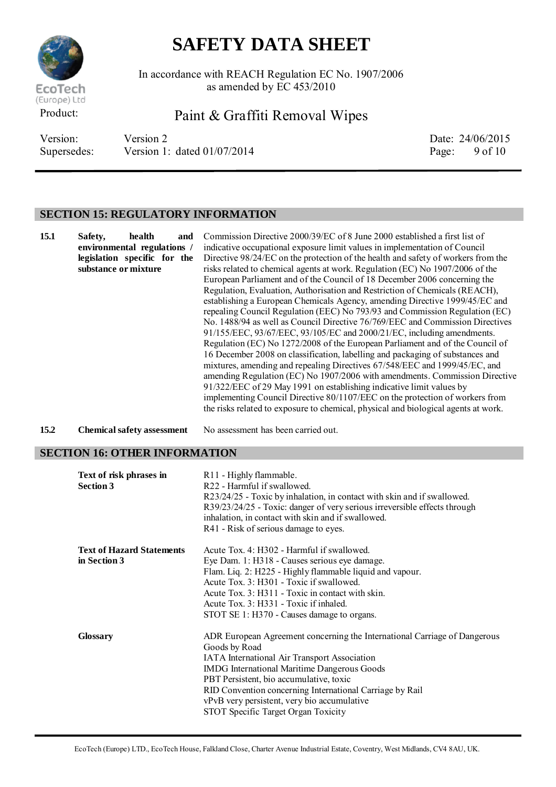

In accordance with REACH Regulation EC No. 1907/2006 as amended by EC 453/2010

Product: Paint & Graffiti Removal Wipes

Version: Version 2 Date: 24/06/2015 Supersedes: Version 1: dated 01/07/2014 Page: 9 of 10

### **SECTION 15: REGULATORY INFORMATION**

| 15.1 | health<br>Safety,<br>and<br>environmental regulations /<br>legislation specific for the<br>substance or mixture | Commission Directive 2000/39/EC of 8 June 2000 established a first list of<br>indicative occupational exposure limit values in implementation of Council<br>Directive 98/24/EC on the protection of the health and safety of workers from the<br>risks related to chemical agents at work. Regulation (EC) No 1907/2006 of the<br>European Parliament and of the Council of 18 December 2006 concerning the<br>Regulation, Evaluation, Authorisation and Restriction of Chemicals (REACH),<br>establishing a European Chemicals Agency, amending Directive 1999/45/EC and<br>repealing Council Regulation (EEC) No 793/93 and Commission Regulation (EC)<br>No. 1488/94 as well as Council Directive 76/769/EEC and Commission Directives<br>91/155/EEC, 93/67/EEC, 93/105/EC and 2000/21/EC, including amendments.<br>Regulation (EC) No 1272/2008 of the European Parliament and of the Council of<br>16 December 2008 on classification, labelling and packaging of substances and<br>mixtures, amending and repealing Directives 67/548/EEC and 1999/45/EC, and<br>amending Regulation (EC) No 1907/2006 with amendments. Commission Directive<br>91/322/EEC of 29 May 1991 on establishing indicative limit values by<br>implementing Council Directive 80/1107/EEC on the protection of workers from<br>the risks related to exposure to chemical, physical and biological agents at work. |
|------|-----------------------------------------------------------------------------------------------------------------|--------------------------------------------------------------------------------------------------------------------------------------------------------------------------------------------------------------------------------------------------------------------------------------------------------------------------------------------------------------------------------------------------------------------------------------------------------------------------------------------------------------------------------------------------------------------------------------------------------------------------------------------------------------------------------------------------------------------------------------------------------------------------------------------------------------------------------------------------------------------------------------------------------------------------------------------------------------------------------------------------------------------------------------------------------------------------------------------------------------------------------------------------------------------------------------------------------------------------------------------------------------------------------------------------------------------------------------------------------------------------------------------------|
| 15.2 | <b>Chemical safety assessment</b>                                                                               | No assessment has been carried out.                                                                                                                                                                                                                                                                                                                                                                                                                                                                                                                                                                                                                                                                                                                                                                                                                                                                                                                                                                                                                                                                                                                                                                                                                                                                                                                                                              |

### **SECTION 16: OTHER INFORMATION**

| Text of risk phrases in<br><b>Section 3</b> | R11 - Highly flammable.<br>R22 - Harmful if swallowed.<br>R23/24/25 - Toxic by inhalation, in contact with skin and if swallowed.<br>R39/23/24/25 - Toxic: danger of very serious irreversible effects through<br>inhalation, in contact with skin and if swallowed.<br>R41 - Risk of serious damage to eyes. |
|---------------------------------------------|---------------------------------------------------------------------------------------------------------------------------------------------------------------------------------------------------------------------------------------------------------------------------------------------------------------|
| <b>Text of Hazard Statements</b>            | Acute Tox. 4: H302 - Harmful if swallowed.                                                                                                                                                                                                                                                                    |
| in Section 3                                | Eye Dam. 1: H318 - Causes serious eye damage.                                                                                                                                                                                                                                                                 |
|                                             | Flam. Liq. 2: H225 - Highly flammable liquid and vapour.                                                                                                                                                                                                                                                      |
|                                             | Acute Tox. 3: H301 - Toxic if swallowed.                                                                                                                                                                                                                                                                      |
|                                             | Acute Tox. 3: H311 - Toxic in contact with skin.                                                                                                                                                                                                                                                              |
|                                             | Acute Tox. 3: H331 - Toxic if inhaled.                                                                                                                                                                                                                                                                        |
|                                             | STOT SE 1: H370 - Causes damage to organs.                                                                                                                                                                                                                                                                    |
| <b>Glossary</b>                             | ADR European Agreement concerning the International Carriage of Dangerous<br>Goods by Road                                                                                                                                                                                                                    |
|                                             | IATA International Air Transport Association                                                                                                                                                                                                                                                                  |
|                                             | IMDG International Maritime Dangerous Goods                                                                                                                                                                                                                                                                   |
|                                             | PBT Persistent, bio accumulative, toxic                                                                                                                                                                                                                                                                       |
|                                             | RID Convention concerning International Carriage by Rail                                                                                                                                                                                                                                                      |
|                                             | vPvB very persistent, very bio accumulative                                                                                                                                                                                                                                                                   |
|                                             | STOT Specific Target Organ Toxicity                                                                                                                                                                                                                                                                           |
|                                             |                                                                                                                                                                                                                                                                                                               |